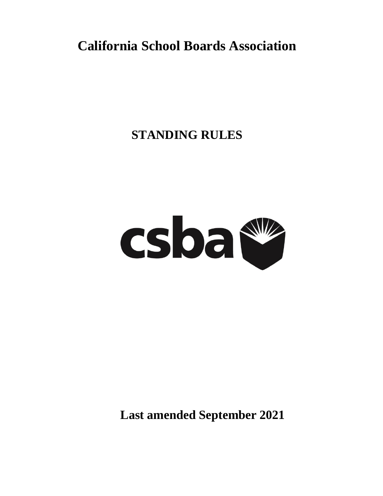# **California School Boards Association**

# **STANDING RULES**



**Last amended September 2021**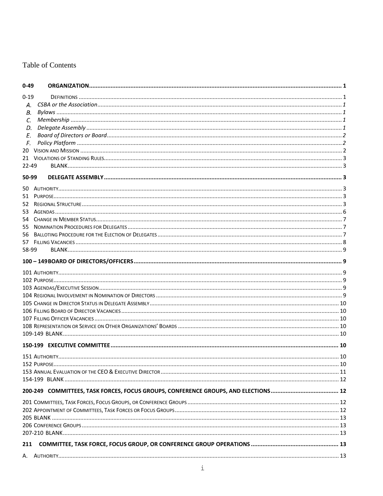# Table of Contents

| $0 - 49$ |  |
|----------|--|
| $0 - 19$ |  |
| А.       |  |
| В.       |  |
| C.       |  |
| D.       |  |
| E.       |  |
| F.       |  |
| 20       |  |
|          |  |
| 22-49    |  |
| 50-99    |  |
|          |  |
| 50.      |  |
| 51       |  |
| 52       |  |
| 53.      |  |
| 54       |  |
| 55       |  |
| 56       |  |
| 57       |  |
| 58-99    |  |
|          |  |
|          |  |
|          |  |
|          |  |
|          |  |
|          |  |
|          |  |
|          |  |
|          |  |
|          |  |
|          |  |
|          |  |
|          |  |
|          |  |
|          |  |
|          |  |
|          |  |
|          |  |
|          |  |
|          |  |
|          |  |
|          |  |
|          |  |
|          |  |
| 211      |  |
|          |  |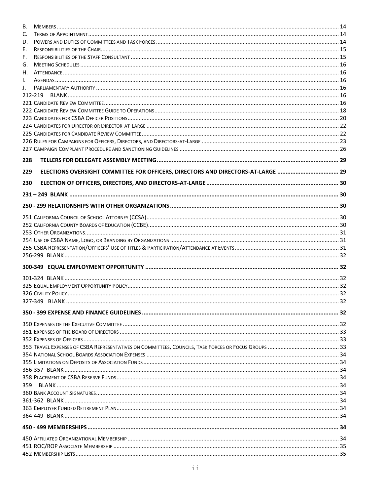| В.  |                                                                              |  |
|-----|------------------------------------------------------------------------------|--|
| C.  |                                                                              |  |
| D.  |                                                                              |  |
| Е.  |                                                                              |  |
| F.  |                                                                              |  |
| G.  |                                                                              |  |
| Н.  |                                                                              |  |
| I.  |                                                                              |  |
| J.  |                                                                              |  |
|     | 212-219                                                                      |  |
|     |                                                                              |  |
|     |                                                                              |  |
|     |                                                                              |  |
|     |                                                                              |  |
|     |                                                                              |  |
|     |                                                                              |  |
|     |                                                                              |  |
|     |                                                                              |  |
| 228 |                                                                              |  |
| 229 | ELECTIONS OVERSIGHT COMMITTEE FOR OFFICERS, DIRECTORS AND DIRECTORS-AT-LARGE |  |
|     |                                                                              |  |
| 230 |                                                                              |  |
|     |                                                                              |  |
|     |                                                                              |  |
|     |                                                                              |  |
|     |                                                                              |  |
|     |                                                                              |  |
|     |                                                                              |  |
|     |                                                                              |  |
|     |                                                                              |  |
|     |                                                                              |  |
|     |                                                                              |  |
|     |                                                                              |  |
|     |                                                                              |  |
|     |                                                                              |  |
|     |                                                                              |  |
|     |                                                                              |  |
|     |                                                                              |  |
|     |                                                                              |  |
|     |                                                                              |  |
|     |                                                                              |  |
|     |                                                                              |  |
|     |                                                                              |  |
|     |                                                                              |  |
|     |                                                                              |  |
|     |                                                                              |  |
|     |                                                                              |  |
| 359 |                                                                              |  |
|     |                                                                              |  |
|     |                                                                              |  |
|     |                                                                              |  |
|     |                                                                              |  |
|     |                                                                              |  |
|     |                                                                              |  |
|     |                                                                              |  |
|     |                                                                              |  |
|     |                                                                              |  |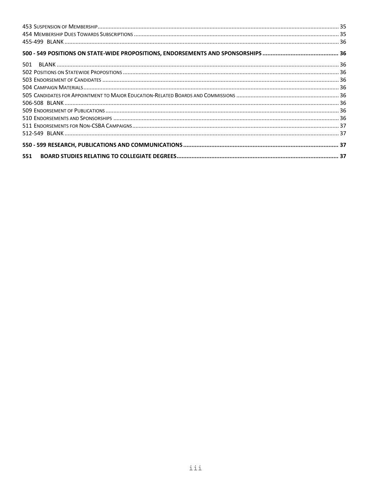| 501 |  |  |
|-----|--|--|
|     |  |  |
|     |  |  |
|     |  |  |
|     |  |  |
|     |  |  |
|     |  |  |
|     |  |  |
|     |  |  |
|     |  |  |
|     |  |  |
| 551 |  |  |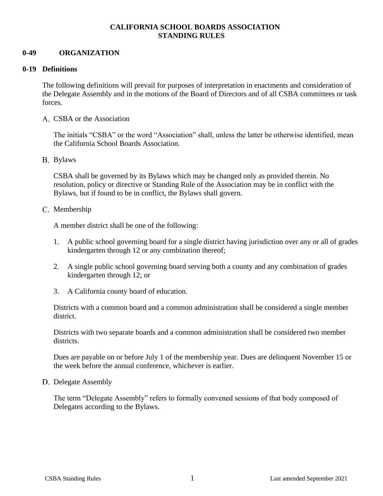# **CALIFORNIA SCHOOL BOARDS ASSOCIATION STANDING RULES**

## <span id="page-4-0"></span>**0-49 ORGANIZATION**

## <span id="page-4-1"></span>**0-19 Definitions**

The following definitions will prevail for purposes of interpretation in enactments and consideration of the Delegate Assembly and in the motions of the Board of Directors and of all CSBA committees or task forces.

<span id="page-4-2"></span>A. CSBA or the Association

The initials "CSBA" or the word "Association" shall, unless the latter be otherwise identified, mean the California School Boards Association.

<span id="page-4-3"></span>B. Bylaws

CSBA shall be governed by its Bylaws which may be changed only as provided therein. No resolution, policy or directive or Standing Rule of the Association may be in conflict with the Bylaws, but if found to be in conflict, the Bylaws shall govern.

<span id="page-4-4"></span>C. Membership

A member district shall be one of the following:

- 1. A public school governing board for a single district having jurisdiction over any or all of grades kindergarten through 12 or any combination thereof;
- 2. A single public school governing board serving both a county and any combination of grades kindergarten through 12; or
- 3. A California county board of education.

Districts with a common board and a common administration shall be considered a single member district.

Districts with two separate boards and a common administration shall be considered two member districts.

Dues are payable on or before July 1 of the membership year. Dues are delinquent November 15 or the week before the annual conference, whichever is earlier.

<span id="page-4-5"></span>D. Delegate Assembly

The term "Delegate Assembly" refers to formally convened sessions of that body composed of Delegates according to the Bylaws.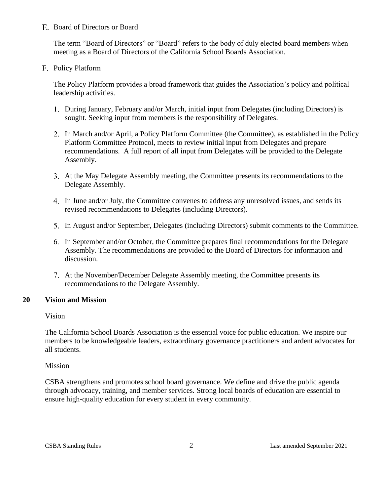## <span id="page-5-0"></span>E. Board of Directors or Board

The term "Board of Directors" or "Board" refers to the body of duly elected board members when meeting as a Board of Directors of the California School Boards Association.

<span id="page-5-1"></span>F. Policy Platform

The Policy Platform provides a broad framework that guides the Association's policy and political leadership activities.

- During January, February and/or March, initial input from Delegates (including Directors) is sought. Seeking input from members is the responsibility of Delegates.
- In March and/or April, a Policy Platform Committee (the Committee), as established in the Policy Platform Committee Protocol, meets to review initial input from Delegates and prepare recommendations. A full report of all input from Delegates will be provided to the Delegate Assembly.
- At the May Delegate Assembly meeting, the Committee presents its recommendations to the Delegate Assembly.
- In June and/or July, the Committee convenes to address any unresolved issues, and sends its revised recommendations to Delegates (including Directors).
- In August and/or September, Delegates (including Directors) submit comments to the Committee.
- In September and/or October, the Committee prepares final recommendations for the Delegate Assembly. The recommendations are provided to the Board of Directors for information and discussion.
- At the November/December Delegate Assembly meeting, the Committee presents its recommendations to the Delegate Assembly.

# <span id="page-5-2"></span>**20 Vision and Mission**

Vision

The California School Boards Association is the essential voice for public education. We inspire our members to be knowledgeable leaders, extraordinary governance practitioners and ardent advocates for all students.

Mission

CSBA strengthens and promotes school board governance. We define and drive the public agenda through advocacy, training, and member services. Strong local boards of education are essential to ensure high-quality education for every student in every community.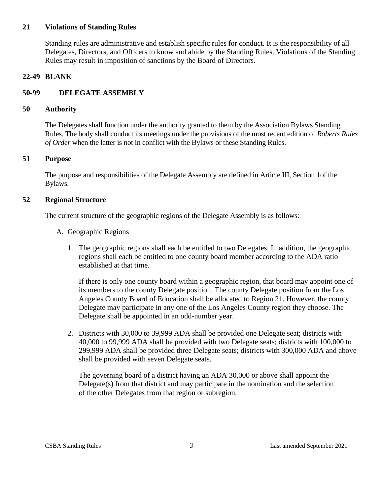## <span id="page-6-0"></span>**21 Violations of Standing Rules**

Standing rules are administrative and establish specific rules for conduct. It is the responsibility of all Delegates, Directors, and Officers to know and abide by the Standing Rules. Violations of the Standing Rules may result in imposition of sanctions by the Board of Directors.

# <span id="page-6-1"></span>**22-49 BLANK**

# <span id="page-6-2"></span>**50-99 DELEGATE ASSEMBLY**

# <span id="page-6-3"></span>**50 Authority**

The Delegates shall function under the authority granted to them by the Association Bylaws Standing Rules. The body shall conduct its meetings under the provisions of the most recent edition of *Roberts Rules of Order* when the latter is not in conflict with the Bylaws or these Standing Rules.

# <span id="page-6-4"></span>**51 Purpose**

The purpose and responsibilities of the Delegate Assembly are defined in Article III, Section 1of the Bylaws.

# <span id="page-6-5"></span>**52 Regional Structure**

The current structure of the geographic regions of the Delegate Assembly is as follows:

- A. Geographic Regions
	- 1. The geographic regions shall each be entitled to two Delegates. In addition, the geographic regions shall each be entitled to one county board member according to the ADA ratio established at that time.

If there is only one county board within a geographic region, that board may appoint one of its members to the county Delegate position. The county Delegate position from the Los Angeles County Board of Education shall be allocated to Region 21. However, the county Delegate may participate in any one of the Los Angeles County region they choose. The Delegate shall be appointed in an odd-number year.

2. Districts with 30,000 to 39,999 ADA shall be provided one Delegate seat; districts with 40,000 to 99,999 ADA shall be provided with two Delegate seats; districts with 100,000 to 299,999 ADA shall be provided three Delegate seats; districts with 300,000 ADA and above shall be provided with seven Delegate seats.

The governing board of a district having an ADA 30,000 or above shall appoint the Delegate $(s)$  from that district and may participate in the nomination and the selection of the other Delegates from that region or subregion.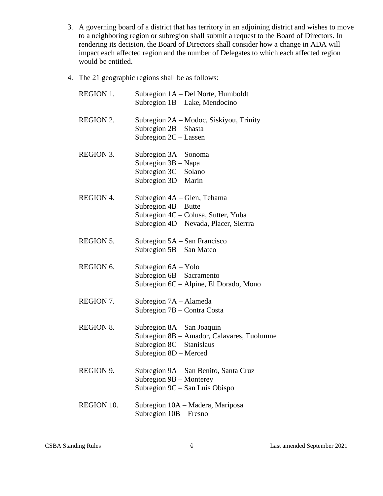- 3. A governing board of a district that has territory in an adjoining district and wishes to move to a neighboring region or subregion shall submit a request to the Board of Directors. In rendering its decision, the Board of Directors shall consider how a change in ADA will impact each affected region and the number of Delegates to which each affected region would be entitled.
- 4. The 21 geographic regions shall be as follows:

| <b>REGION 1.</b>  | Subregion 1A – Del Norte, Humboldt<br>Subregion 1B - Lake, Mendocino                                                                   |
|-------------------|----------------------------------------------------------------------------------------------------------------------------------------|
| <b>REGION 2.</b>  | Subregion 2A – Modoc, Siskiyou, Trinity<br>Subregion $2B$ – Shasta<br>Subregion $2C - L$ assen                                         |
| <b>REGION 3.</b>  | Subregion 3A – Sonoma<br>Subregion $3B - Napa$<br>Subregion 3C - Solano<br>Subregion 3D - Marin                                        |
| <b>REGION 4.</b>  | Subregion 4A – Glen, Tehama<br>Subregion $4B - Butte$<br>Subregion 4C – Colusa, Sutter, Yuba<br>Subregion 4D – Nevada, Placer, Sierrra |
| <b>REGION 5.</b>  | Subregion $5A - San Francisco$<br>Subregion 5B - San Mateo                                                                             |
| REGION 6.         | Subregion $6A - Y$ olo<br>Subregion 6B - Sacramento<br>Subregion 6C – Alpine, El Dorado, Mono                                          |
| REGION 7.         | Subregion 7A – Alameda<br>Subregion 7B – Contra Costa                                                                                  |
| <b>REGION 8.</b>  | Subregion 8A – San Joaquin<br>Subregion 8B - Amador, Calavares, Tuolumne<br>Subregion 8C - Stanislaus<br>Subregion 8D - Merced         |
| REGION 9.         | Subregion 9A - San Benito, Santa Cruz<br>Subregion 9B - Monterey<br>Subregion 9C - San Luis Obispo                                     |
| <b>REGION 10.</b> | Subregion 10A - Madera, Mariposa<br>Subregion 10B - Fresno                                                                             |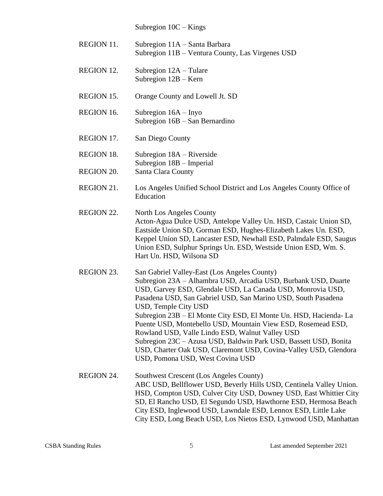Subregion 10C – Kings

| REGION 11.        | Subregion 11A – Santa Barbara<br>Subregion 11B - Ventura County, Las Virgenes USD                                                                                                                                                                                                                                                                                                                                                                                                                                                                                                                                                         |
|-------------------|-------------------------------------------------------------------------------------------------------------------------------------------------------------------------------------------------------------------------------------------------------------------------------------------------------------------------------------------------------------------------------------------------------------------------------------------------------------------------------------------------------------------------------------------------------------------------------------------------------------------------------------------|
| <b>REGION 12.</b> | Subregion $12A - T$ ulare<br>Subregion $12B -$ Kern                                                                                                                                                                                                                                                                                                                                                                                                                                                                                                                                                                                       |
| REGION 15.        | Orange County and Lowell Jt. SD                                                                                                                                                                                                                                                                                                                                                                                                                                                                                                                                                                                                           |
| REGION 16.        | Subregion $16A - Iny$ o<br>Subregion 16B - San Bernardino                                                                                                                                                                                                                                                                                                                                                                                                                                                                                                                                                                                 |
| REGION 17.        | San Diego County                                                                                                                                                                                                                                                                                                                                                                                                                                                                                                                                                                                                                          |
| <b>REGION 18.</b> | Subregion 18A - Riverside<br>Subregion 18B - Imperial                                                                                                                                                                                                                                                                                                                                                                                                                                                                                                                                                                                     |
| <b>REGION 20.</b> | Santa Clara County                                                                                                                                                                                                                                                                                                                                                                                                                                                                                                                                                                                                                        |
| <b>REGION 21.</b> | Los Angeles Unified School District and Los Angeles County Office of<br>Education                                                                                                                                                                                                                                                                                                                                                                                                                                                                                                                                                         |
| REGION 22.        | North Los Angeles County<br>Acton-Agua Dulce USD, Antelope Valley Un. HSD, Castaic Union SD,<br>Eastside Union SD, Gorman ESD, Hughes-Elizabeth Lakes Un. ESD,<br>Keppel Union SD, Lancaster ESD, Newhall ESD, Palmdale ESD, Saugus<br>Union ESD, Sulphur Springs Un. ESD, Westside Union ESD, Wm. S.<br>Hart Un. HSD, Wilsona SD                                                                                                                                                                                                                                                                                                         |
| REGION 23.        | San Gabriel Valley-East (Los Angeles County)<br>Subregion 23A - Alhambra USD, Arcadia USD, Burbank USD, Duarte<br>USD, Garvey ESD, Glendale USD, La Canada USD, Monrovia USD,<br>Pasadena USD, San Gabriel USD, San Marino USD, South Pasadena<br>USD, Temple City USD<br>Subregion 23B - El Monte City ESD, El Monte Un. HSD, Hacienda-La<br>Puente USD, Montebello USD, Mountain View ESD, Rosemead ESD,<br>Rowland USD, Valle Lindo ESD, Walnut Valley USD<br>Subregion 23C - Azusa USD, Baldwin Park USD, Bassett USD, Bonita<br>USD, Charter Oak USD, Claremont USD, Covina-Valley USD, Glendora<br>USD, Pomona USD, West Covina USD |
| REGION 24.        | Southwest Crescent (Los Angeles County)<br>ABC USD, Bellflower USD, Beverly Hills USD, Centinela Valley Union.<br>HSD, Compton USD, Culver City USD, Downey USD, East Whittier City<br>SD, El Rancho USD, El Segundo USD, Hawthorne ESD, Hermosa Beach<br>City ESD, Inglewood USD, Lawndale ESD, Lennox ESD, Little Lake<br>City ESD, Long Beach USD, Los Nietos ESD, Lynwood USD, Manhattan                                                                                                                                                                                                                                              |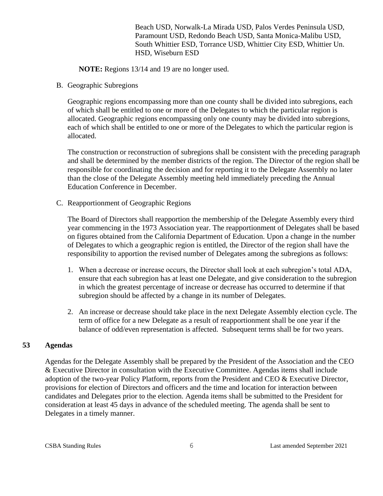Beach USD, Norwalk-La Mirada USD, Palos Verdes Peninsula USD, Paramount USD, Redondo Beach USD, Santa Monica-Malibu USD, South Whittier ESD, Torrance USD, Whittier City ESD, Whittier Un. HSD, Wiseburn ESD

**NOTE:** Regions 13/14 and 19 are no longer used.

B. Geographic Subregions

Geographic regions encompassing more than one county shall be divided into subregions, each of which shall be entitled to one or more of the Delegates to which the particular region is allocated. Geographic regions encompassing only one county may be divided into subregions, each of which shall be entitled to one or more of the Delegates to which the particular region is allocated.

The construction or reconstruction of subregions shall be consistent with the preceding paragraph and shall be determined by the member districts of the region. The Director of the region shall be responsible for coordinating the decision and for reporting it to the Delegate Assembly no later than the close of the Delegate Assembly meeting held immediately preceding the Annual Education Conference in December.

C. Reapportionment of Geographic Regions

The Board of Directors shall reapportion the membership of the Delegate Assembly every third year commencing in the 1973 Association year. The reapportionment of Delegates shall be based on figures obtained from the California Department of Education. Upon a change in the number of Delegates to which a geographic region is entitled, the Director of the region shall have the responsibility to apportion the revised number of Delegates among the subregions as follows:

- 1. When a decrease or increase occurs, the Director shall look at each subregion's total ADA, ensure that each subregion has at least one Delegate, and give consideration to the subregion in which the greatest percentage of increase or decrease has occurred to determine if that subregion should be affected by a change in its number of Delegates.
- 2. An increase or decrease should take place in the next Delegate Assembly election cycle. The term of office for a new Delegate as a result of reapportionment shall be one year if the balance of odd/even representation is affected. Subsequent terms shall be for two years.

# <span id="page-9-0"></span>**53 Agendas**

Agendas for the Delegate Assembly shall be prepared by the President of the Association and the CEO & Executive Director in consultation with the Executive Committee. Agendas items shall include adoption of the two-year Policy Platform, reports from the President and CEO & Executive Director, provisions for election of Directors and officers and the time and location for interaction between candidates and Delegates prior to the election. Agenda items shall be submitted to the President for consideration at least 45 days in advance of the scheduled meeting. The agenda shall be sent to Delegates in a timely manner.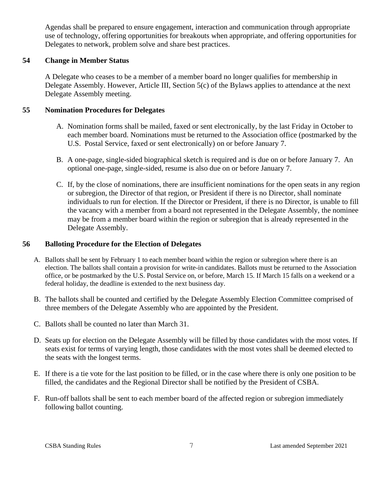Agendas shall be prepared to ensure engagement, interaction and communication through appropriate use of technology, offering opportunities for breakouts when appropriate, and offering opportunities for Delegates to network, problem solve and share best practices.

# <span id="page-10-0"></span>**54 Change in Member Status**

A Delegate who ceases to be a member of a member board no longer qualifies for membership in Delegate Assembly. However, Article III, Section 5(c) of the Bylaws applies to attendance at the next Delegate Assembly meeting.

# <span id="page-10-1"></span>**55 Nomination Procedures for Delegates**

- A. Nomination forms shall be mailed, faxed or sent electronically, by the last Friday in October to each member board. Nominations must be returned to the Association office (postmarked by the U.S. Postal Service, faxed or sent electronically) on or before January 7.
- B. A one-page, single-sided biographical sketch is required and is due on or before January 7. An optional one-page, single-sided, resume is also due on or before January 7.
- C. If, by the close of nominations, there are insufficient nominations for the open seats in any region or subregion, the Director of that region, or President if there is no Director, shall nominate individuals to run for election. If the Director or President, if there is no Director, is unable to fill the vacancy with a member from a board not represented in the Delegate Assembly, the nominee may be from a member board within the region or subregion that is already represented in the Delegate Assembly.

## <span id="page-10-2"></span>**56 Balloting Procedure for the Election of Delegates**

- A. Ballots shall be sent by February 1 to each member board within the region or subregion where there is an election. The ballots shall contain a provision for write-in candidates. Ballots must be returned to the Association office, or be postmarked by the U.S. Postal Service on, or before, March 15. If March 15 falls on a weekend or a federal holiday, the deadline is extended to the next business day.
- B. The ballots shall be counted and certified by the Delegate Assembly Election Committee comprised of three members of the Delegate Assembly who are appointed by the President.
- C. Ballots shall be counted no later than March 31.
- D. Seats up for election on the Delegate Assembly will be filled by those candidates with the most votes. If seats exist for terms of varying length, those candidates with the most votes shall be deemed elected to the seats with the longest terms.
- E. If there is a tie vote for the last position to be filled, or in the case where there is only one position to be filled, the candidates and the Regional Director shall be notified by the President of CSBA.
- F. Run-off ballots shall be sent to each member board of the affected region or subregion immediately following ballot counting.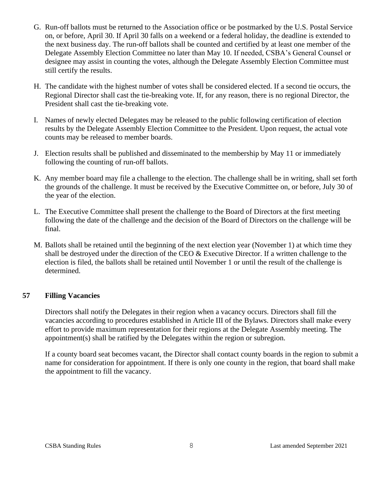- G. Run-off ballots must be returned to the Association office or be postmarked by the U.S. Postal Service on, or before, April 30. If April 30 falls on a weekend or a federal holiday, the deadline is extended to the next business day. The run-off ballots shall be counted and certified by at least one member of the Delegate Assembly Election Committee no later than May 10. If needed, CSBA's General Counsel or designee may assist in counting the votes, although the Delegate Assembly Election Committee must still certify the results.
- H. The candidate with the highest number of votes shall be considered elected. If a second tie occurs, the Regional Director shall cast the tie-breaking vote. If, for any reason, there is no regional Director, the President shall cast the tie-breaking vote.
- I. Names of newly elected Delegates may be released to the public following certification of election results by the Delegate Assembly Election Committee to the President. Upon request, the actual vote counts may be released to member boards.
- J. Election results shall be published and disseminated to the membership by May 11 or immediately following the counting of run-off ballots.
- K. Any member board may file a challenge to the election. The challenge shall be in writing, shall set forth the grounds of the challenge. It must be received by the Executive Committee on, or before, July 30 of the year of the election.
- L. The Executive Committee shall present the challenge to the Board of Directors at the first meeting following the date of the challenge and the decision of the Board of Directors on the challenge will be final.
- M. Ballots shall be retained until the beginning of the next election year (November 1) at which time they shall be destroyed under the direction of the CEO & Executive Director. If a written challenge to the election is filed, the ballots shall be retained until November 1 or until the result of the challenge is determined.

# <span id="page-11-0"></span>**57 Filling Vacancies**

Directors shall notify the Delegates in their region when a vacancy occurs. Directors shall fill the vacancies according to procedures established in Article III of the Bylaws. Directors shall make every effort to provide maximum representation for their regions at the Delegate Assembly meeting. The appointment(s) shall be ratified by the Delegates within the region or subregion.

If a county board seat becomes vacant, the Director shall contact county boards in the region to submit a name for consideration for appointment. If there is only one county in the region, that board shall make the appointment to fill the vacancy.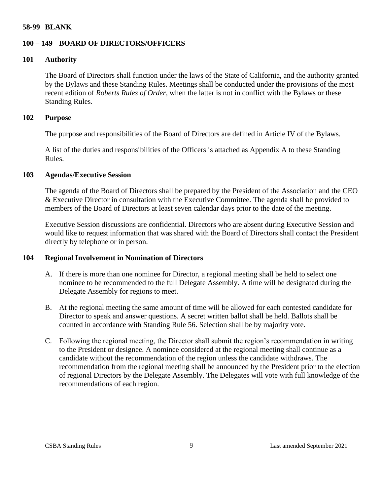#### <span id="page-12-0"></span>**58-99 BLANK**

## <span id="page-12-1"></span>**100 – 149 BOARD OF DIRECTORS/OFFICERS**

## <span id="page-12-2"></span>**101 Authority**

The Board of Directors shall function under the laws of the State of California, and the authority granted by the Bylaws and these Standing Rules. Meetings shall be conducted under the provisions of the most recent edition of *Roberts Rules of Order*, when the latter is not in conflict with the Bylaws or these Standing Rules.

# <span id="page-12-3"></span>**102 Purpose**

The purpose and responsibilities of the Board of Directors are defined in Article IV of the Bylaws.

A list of the duties and responsibilities of the Officers is attached as Appendix A to these Standing Rules.

#### <span id="page-12-4"></span>**103 Agendas/Executive Session**

The agenda of the Board of Directors shall be prepared by the President of the Association and the CEO & Executive Director in consultation with the Executive Committee. The agenda shall be provided to members of the Board of Directors at least seven calendar days prior to the date of the meeting.

Executive Session discussions are confidential. Directors who are absent during Executive Session and would like to request information that was shared with the Board of Directors shall contact the President directly by telephone or in person.

## <span id="page-12-5"></span>**104 Regional Involvement in Nomination of Directors**

- A. If there is more than one nominee for Director, a regional meeting shall be held to select one nominee to be recommended to the full Delegate Assembly. A time will be designated during the Delegate Assembly for regions to meet.
- B. At the regional meeting the same amount of time will be allowed for each contested candidate for Director to speak and answer questions. A secret written ballot shall be held. Ballots shall be counted in accordance with Standing Rule 56. Selection shall be by majority vote.
- C. Following the regional meeting, the Director shall submit the region's recommendation in writing to the President or designee. A nominee considered at the regional meeting shall continue as a candidate without the recommendation of the region unless the candidate withdraws. The recommendation from the regional meeting shall be announced by the President prior to the election of regional Directors by the Delegate Assembly. The Delegates will vote with full knowledge of the recommendations of each region.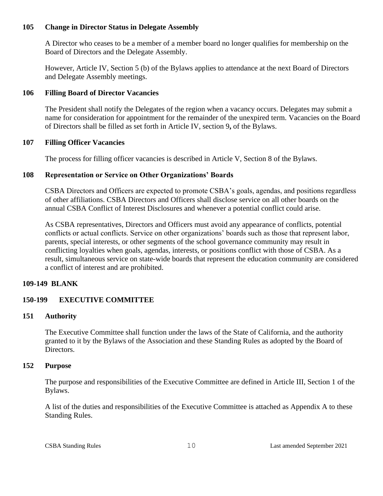# <span id="page-13-0"></span>**105 Change in Director Status in Delegate Assembly**

A Director who ceases to be a member of a member board no longer qualifies for membership on the Board of Directors and the Delegate Assembly.

However, Article IV, Section 5 (b) of the Bylaws applies to attendance at the next Board of Directors and Delegate Assembly meetings.

# <span id="page-13-1"></span>**106 Filling Board of Director Vacancies**

The President shall notify the Delegates of the region when a vacancy occurs. Delegates may submit a name for consideration for appointment for the remainder of the unexpired term. Vacancies on the Board of Directors shall be filled as set forth in Article IV, section 9**,** of the Bylaws.

# <span id="page-13-2"></span>**107 Filling Officer Vacancies**

The process for filling officer vacancies is described in Article V, Section 8 of the Bylaws.

# <span id="page-13-3"></span>**108 Representation or Service on Other Organizations' Boards**

CSBA Directors and Officers are expected to promote CSBA's goals, agendas, and positions regardless of other affiliations. CSBA Directors and Officers shall disclose service on all other boards on the annual CSBA Conflict of Interest Disclosures and whenever a potential conflict could arise.

As CSBA representatives, Directors and Officers must avoid any appearance of conflicts, potential conflicts or actual conflicts. Service on other organizations' boards such as those that represent labor, parents, special interests, or other segments of the school governance community may result in conflicting loyalties when goals, agendas, interests, or positions conflict with those of CSBA. As a result, simultaneous service on state-wide boards that represent the education community are considered a conflict of interest and are prohibited.

# <span id="page-13-4"></span>**109-149 BLANK**

# <span id="page-13-5"></span>**150-199 EXECUTIVE COMMITTEE**

# <span id="page-13-6"></span>**151 Authority**

The Executive Committee shall function under the laws of the State of California, and the authority granted to it by the Bylaws of the Association and these Standing Rules as adopted by the Board of Directors.

## <span id="page-13-7"></span>**152 Purpose**

The purpose and responsibilities of the Executive Committee are defined in Article III, Section 1 of the Bylaws.

A list of the duties and responsibilities of the Executive Committee is attached as Appendix A to these Standing Rules.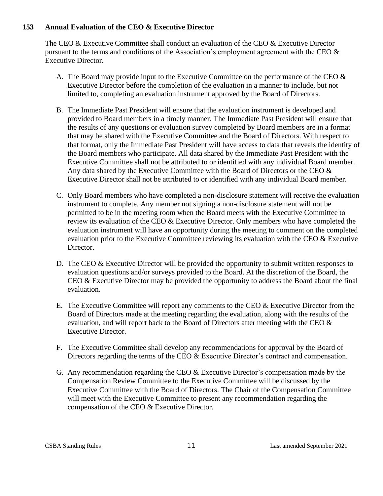# <span id="page-14-0"></span>**153 Annual Evaluation of the CEO & Executive Director**

The CEO & Executive Committee shall conduct an evaluation of the CEO & Executive Director pursuant to the terms and conditions of the Association's employment agreement with the CEO  $\&$ Executive Director.

- A. The Board may provide input to the Executive Committee on the performance of the CEO  $\&$ Executive Director before the completion of the evaluation in a manner to include, but not limited to, completing an evaluation instrument approved by the Board of Directors.
- B. The Immediate Past President will ensure that the evaluation instrument is developed and provided to Board members in a timely manner. The Immediate Past President will ensure that the results of any questions or evaluation survey completed by Board members are in a format that may be shared with the Executive Committee and the Board of Directors. With respect to that format, only the Immediate Past President will have access to data that reveals the identity of the Board members who participate. All data shared by the Immediate Past President with the Executive Committee shall not be attributed to or identified with any individual Board member. Any data shared by the Executive Committee with the Board of Directors or the CEO  $\&$ Executive Director shall not be attributed to or identified with any individual Board member.
- C. Only Board members who have completed a non-disclosure statement will receive the evaluation instrument to complete. Any member not signing a non-disclosure statement will not be permitted to be in the meeting room when the Board meets with the Executive Committee to review its evaluation of the CEO & Executive Director. Only members who have completed the evaluation instrument will have an opportunity during the meeting to comment on the completed evaluation prior to the Executive Committee reviewing its evaluation with the CEO & Executive Director.
- D. The CEO & Executive Director will be provided the opportunity to submit written responses to evaluation questions and/or surveys provided to the Board. At the discretion of the Board, the CEO & Executive Director may be provided the opportunity to address the Board about the final evaluation.
- E. The Executive Committee will report any comments to the CEO & Executive Director from the Board of Directors made at the meeting regarding the evaluation, along with the results of the evaluation, and will report back to the Board of Directors after meeting with the CEO  $\&$ Executive Director.
- F. The Executive Committee shall develop any recommendations for approval by the Board of Directors regarding the terms of the CEO & Executive Director's contract and compensation.
- G. Any recommendation regarding the CEO & Executive Director's compensation made by the Compensation Review Committee to the Executive Committee will be discussed by the Executive Committee with the Board of Directors. The Chair of the Compensation Committee will meet with the Executive Committee to present any recommendation regarding the compensation of the CEO & Executive Director.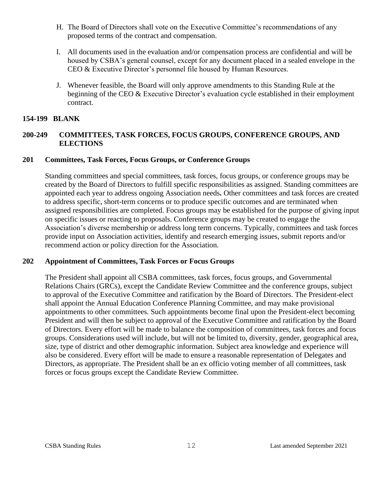- H. The Board of Directors shall vote on the Executive Committee's recommendations of any proposed terms of the contract and compensation.
- I. All documents used in the evaluation and/or compensation process are confidential and will be housed by CSBA's general counsel, except for any document placed in a sealed envelope in the CEO & Executive Director's personnel file housed by Human Resources.
- J. Whenever feasible, the Board will only approve amendments to this Standing Rule at the beginning of the CEO & Executive Director's evaluation cycle established in their employment contract.

# <span id="page-15-0"></span>**154-199 BLANK**

# <span id="page-15-1"></span>**200-249 COMMITTEES, TASK FORCES, FOCUS GROUPS, CONFERENCE GROUPS, AND ELECTIONS**

## <span id="page-15-2"></span>**201 Committees, Task Forces, Focus Groups, or Conference Groups**

Standing committees and special committees, task forces, focus groups, or conference groups may be created by the Board of Directors to fulfill specific responsibilities as assigned. Standing committees are appointed each year to address ongoing Association needs*.* Other committees and task forces are created to address specific, short-term concerns or to produce specific outcomes and are terminated when assigned responsibilities are completed. Focus groups may be established for the purpose of giving input on specific issues or reacting to proposals. Conference groups may be created to engage the Association's diverse membership or address long term concerns. Typically, committees and task forces provide input on Association activities, identify and research emerging issues, submit reports and/or recommend action or policy direction for the Association.

## <span id="page-15-3"></span>**202 Appointment of Committees, Task Forces or Focus Groups**

The President shall appoint all CSBA committees, task forces, focus groups, and Governmental Relations Chairs (GRCs), except the Candidate Review Committee and the conference groups, subject to approval of the Executive Committee and ratification by the Board of Directors. The President-elect shall appoint the Annual Education Conference Planning Committee, and may make provisional appointments to other committees. Such appointments become final upon the President-elect becoming President and will then be subject to approval of the Executive Committee and ratification by the Board of Directors. Every effort will be made to balance the composition of committees, task forces and focus groups. Considerations used will include, but will not be limited to, diversity, gender, geographical area, size, type of district and other demographic information. Subject area knowledge and experience will also be considered. Every effort will be made to ensure a reasonable representation of Delegates and Directors, as appropriate. The President shall be an ex officio voting member of all committees, task forces or focus groups except the Candidate Review Committee.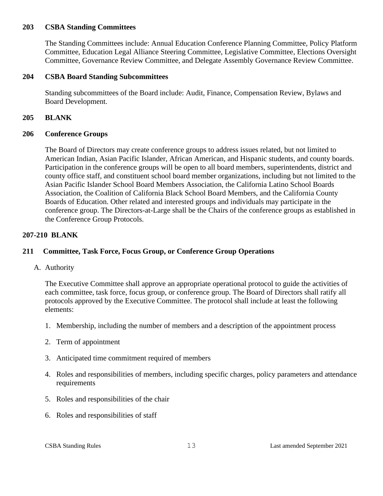## **203 CSBA Standing Committees**

The Standing Committees include: Annual Education Conference Planning Committee, Policy Platform Committee, Education Legal Alliance Steering Committee, Legislative Committee, Elections Oversight Committee, Governance Review Committee, and Delegate Assembly Governance Review Committee.

## **204 CSBA Board Standing Subcommittees**

Standing subcommittees of the Board include: Audit, Finance, Compensation Review, Bylaws and Board Development.

#### <span id="page-16-0"></span>**205 BLANK**

#### <span id="page-16-1"></span>**206 Conference Groups**

The Board of Directors may create conference groups to address issues related, but not limited to American Indian, Asian Pacific Islander, African American, and Hispanic students, and county boards. Participation in the conference groups will be open to all board members, superintendents, district and county office staff, and constituent school board member organizations, including but not limited to the Asian Pacific Islander School Board Members Association, the California Latino School Boards Association, the Coalition of California Black School Board Members, and the California County Boards of Education. Other related and interested groups and individuals may participate in the conference group. The Directors-at-Large shall be the Chairs of the conference groups as established in the Conference Group Protocols.

## <span id="page-16-2"></span>**207-210 BLANK**

# <span id="page-16-3"></span>**211 Committee, Task Force, Focus Group, or Conference Group Operations**

<span id="page-16-4"></span>A. Authority

The Executive Committee shall approve an appropriate operational protocol to guide the activities of each committee, task force, focus group, or conference group. The Board of Directors shall ratify all protocols approved by the Executive Committee. The protocol shall include at least the following elements:

- 1. Membership, including the number of members and a description of the appointment process
- 2. Term of appointment
- 3. Anticipated time commitment required of members
- 4. Roles and responsibilities of members, including specific charges, policy parameters and attendance requirements
- 5. Roles and responsibilities of the chair
- 6. Roles and responsibilities of staff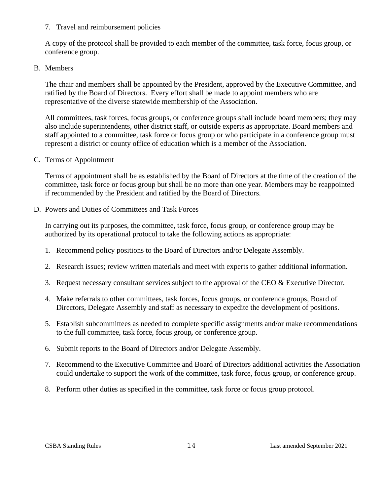## 7. Travel and reimbursement policies

A copy of the protocol shall be provided to each member of the committee, task force, focus group, or conference group.

## <span id="page-17-0"></span>B. Members

The chair and members shall be appointed by the President, approved by the Executive Committee, and ratified by the Board of Directors. Every effort shall be made to appoint members who are representative of the diverse statewide membership of the Association.

All committees, task forces, focus groups, or conference groups shall include board members; they may also include superintendents, other district staff, or outside experts as appropriate. Board members and staff appointed to a committee, task force or focus group or who participate in a conference group must represent a district or county office of education which is a member of the Association.

## <span id="page-17-1"></span>C. Terms of Appointment

Terms of appointment shall be as established by the Board of Directors at the time of the creation of the committee, task force or focus group but shall be no more than one year. Members may be reappointed if recommended by the President and ratified by the Board of Directors.

## <span id="page-17-2"></span>D. Powers and Duties of Committees and Task Forces

In carrying out its purposes, the committee, task force, focus group, or conference group may be authorized by its operational protocol to take the following actions as appropriate:

- 1. Recommend policy positions to the Board of Directors and/or Delegate Assembly.
- 2. Research issues; review written materials and meet with experts to gather additional information.
- 3. Request necessary consultant services subject to the approval of the CEO & Executive Director.
- 4. Make referrals to other committees, task forces, focus groups, or conference groups, Board of Directors, Delegate Assembly and staff as necessary to expedite the development of positions.
- 5. Establish subcommittees as needed to complete specific assignments and/or make recommendations to the full committee, task force, focus group*,* or conference group.
- 6. Submit reports to the Board of Directors and/or Delegate Assembly.
- 7. Recommend to the Executive Committee and Board of Directors additional activities the Association could undertake to support the work of the committee, task force, focus group, or conference group.
- 8. Perform other duties as specified in the committee, task force or focus group protocol.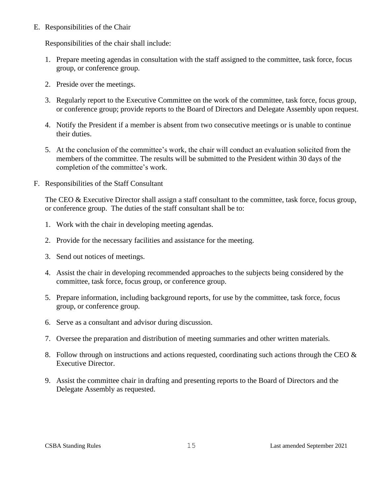## <span id="page-18-0"></span>E. Responsibilities of the Chair

Responsibilities of the chair shall include:

- 1. Prepare meeting agendas in consultation with the staff assigned to the committee, task force, focus group, or conference group.
- 2. Preside over the meetings.
- 3. Regularly report to the Executive Committee on the work of the committee, task force, focus group, or conference group; provide reports to the Board of Directors and Delegate Assembly upon request.
- 4. Notify the President if a member is absent from two consecutive meetings or is unable to continue their duties.
- 5. At the conclusion of the committee's work, the chair will conduct an evaluation solicited from the members of the committee. The results will be submitted to the President within 30 days of the completion of the committee's work.
- <span id="page-18-1"></span>F. Responsibilities of the Staff Consultant

The CEO & Executive Director shall assign a staff consultant to the committee, task force, focus group, or conference group. The duties of the staff consultant shall be to:

- 1. Work with the chair in developing meeting agendas.
- 2. Provide for the necessary facilities and assistance for the meeting.
- 3. Send out notices of meetings.
- 4. Assist the chair in developing recommended approaches to the subjects being considered by the committee, task force, focus group, or conference group.
- 5. Prepare information, including background reports, for use by the committee, task force, focus group, or conference group.
- 6. Serve as a consultant and advisor during discussion.
- 7. Oversee the preparation and distribution of meeting summaries and other written materials.
- 8. Follow through on instructions and actions requested, coordinating such actions through the CEO & Executive Director.
- 9. Assist the committee chair in drafting and presenting reports to the Board of Directors and the Delegate Assembly as requested.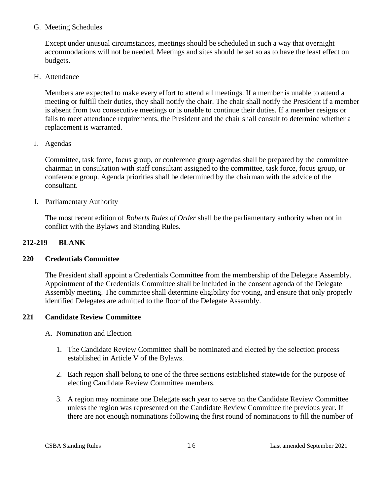## <span id="page-19-0"></span>G. Meeting Schedules

Except under unusual circumstances, meetings should be scheduled in such a way that overnight accommodations will not be needed. Meetings and sites should be set so as to have the least effect on budgets.

<span id="page-19-1"></span>H. Attendance

Members are expected to make every effort to attend all meetings. If a member is unable to attend a meeting or fulfill their duties, they shall notify the chair. The chair shall notify the President if a member is absent from two consecutive meetings or is unable to continue their duties. If a member resigns or fails to meet attendance requirements, the President and the chair shall consult to determine whether a replacement is warranted.

<span id="page-19-2"></span>I. Agendas

Committee, task force, focus group, or conference group agendas shall be prepared by the committee chairman in consultation with staff consultant assigned to the committee, task force, focus group, or conference group. Agenda priorities shall be determined by the chairman with the advice of the consultant.

<span id="page-19-3"></span>J. Parliamentary Authority

The most recent edition of *Roberts Rules of Order* shall be the parliamentary authority when not in conflict with the Bylaws and Standing Rules.

# <span id="page-19-4"></span>**212-219 BLANK**

# **220 Credentials Committee**

The President shall appoint a Credentials Committee from the membership of the Delegate Assembly. Appointment of the Credentials Committee shall be included in the consent agenda of the Delegate Assembly meeting. The committee shall determine eligibility for voting, and ensure that only properly identified Delegates are admitted to the floor of the Delegate Assembly.

# <span id="page-19-5"></span>**221 Candidate Review Committee**

- A. Nomination and Election
	- 1. The Candidate Review Committee shall be nominated and elected by the selection process established in Article V of the Bylaws.
	- 2. Each region shall belong to one of the three sections established statewide for the purpose of electing Candidate Review Committee members.
	- 3. A region may nominate one Delegate each year to serve on the Candidate Review Committee unless the region was represented on the Candidate Review Committee the previous year. If there are not enough nominations following the first round of nominations to fill the number of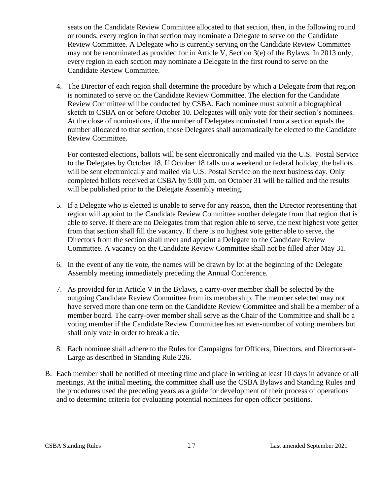seats on the Candidate Review Committee allocated to that section, then, in the following round or rounds, every region in that section may nominate a Delegate to serve on the Candidate Review Committee. A Delegate who is currently serving on the Candidate Review Committee may not be renominated as provided for in Article V, Section 3(e) of the Bylaws. In 2013 only, every region in each section may nominate a Delegate in the first round to serve on the Candidate Review Committee.

4. The Director of each region shall determine the procedure by which a Delegate from that region is nominated to serve on the Candidate Review Committee. The election for the Candidate Review Committee will be conducted by CSBA. Each nominee must submit a biographical sketch to CSBA on or before October 10. Delegates will only vote for their section's nominees. At the close of nominations, if the number of Delegates nominated from a section equals the number allocated to that section, those Delegates shall automatically be elected to the Candidate Review Committee.

For contested elections, ballots will be sent electronically and mailed via the U.S. Postal Service to the Delegates by October 18. If October 18 falls on a weekend or federal holiday, the ballots will be sent electronically and mailed via U.S. Postal Service on the next business day. Only completed ballots received at CSBA by 5:00 p.m. on October 31 will be tallied and the results will be published prior to the Delegate Assembly meeting.

- 5. If a Delegate who is elected is unable to serve for any reason, then the Director representing that region will appoint to the Candidate Review Committee another delegate from that region that is able to serve. If there are no Delegates from that region able to serve, the next highest vote getter from that section shall fill the vacancy. If there is no highest vote getter able to serve, the Directors from the section shall meet and appoint a Delegate to the Candidate Review Committee. A vacancy on the Candidate Review Committee shall not be filled after May 31.
- 6. In the event of any tie vote, the names will be drawn by lot at the beginning of the Delegate Assembly meeting immediately preceding the Annual Conference.
- 7. As provided for in Article V in the Bylaws, a carry-over member shall be selected by the outgoing Candidate Review Committee from its membership. The member selected may not have served more than one term on the Candidate Review Committee and shall be a member of a member board. The carry-over member shall serve as the Chair of the Committee and shall be a voting member if the Candidate Review Committee has an even-number of voting members but shall only vote in order to break a tie.
- 8. Each nominee shall adhere to the Rules for Campaigns for Officers, Directors, and Directors-at-Large as described in Standing Rule 226.
- B. Each member shall be notified of meeting time and place in writing at least 10 days in advance of all meetings. At the initial meeting, the committee shall use the CSBA Bylaws and Standing Rules and the procedures used the preceding years as a guide for development of their process of operations and to determine criteria for evaluating potential nominees for open officer positions.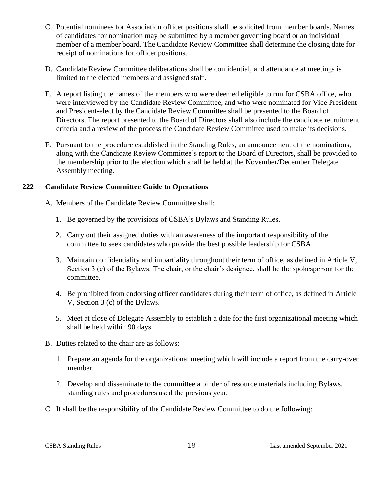- C. Potential nominees for Association officer positions shall be solicited from member boards. Names of candidates for nomination may be submitted by a member governing board or an individual member of a member board. The Candidate Review Committee shall determine the closing date for receipt of nominations for officer positions.
- D. Candidate Review Committee deliberations shall be confidential, and attendance at meetings is limited to the elected members and assigned staff.
- E. A report listing the names of the members who were deemed eligible to run for CSBA office, who were interviewed by the Candidate Review Committee, and who were nominated for Vice President and President-elect by the Candidate Review Committee shall be presented to the Board of Directors. The report presented to the Board of Directors shall also include the candidate recruitment criteria and a review of the process the Candidate Review Committee used to make its decisions.
- F. Pursuant to the procedure established in the Standing Rules, an announcement of the nominations, along with the Candidate Review Committee's report to the Board of Directors, shall be provided to the membership prior to the election which shall be held at the November/December Delegate Assembly meeting.

# <span id="page-21-0"></span>**222 Candidate Review Committee Guide to Operations**

- A. Members of the Candidate Review Committee shall:
	- 1. Be governed by the provisions of CSBA's Bylaws and Standing Rules.
	- 2. Carry out their assigned duties with an awareness of the important responsibility of the committee to seek candidates who provide the best possible leadership for CSBA.
	- 3. Maintain confidentiality and impartiality throughout their term of office, as defined in Article V, Section 3 (c) of the Bylaws. The chair, or the chair's designee, shall be the spokesperson for the committee.
	- 4. Be prohibited from endorsing officer candidates during their term of office, as defined in Article V, Section 3 (c) of the Bylaws.
	- 5. Meet at close of Delegate Assembly to establish a date for the first organizational meeting which shall be held within 90 days.
- B. Duties related to the chair are as follows:
	- 1. Prepare an agenda for the organizational meeting which will include a report from the carry-over member.
	- 2. Develop and disseminate to the committee a binder of resource materials including Bylaws, standing rules and procedures used the previous year.
- C. It shall be the responsibility of the Candidate Review Committee to do the following: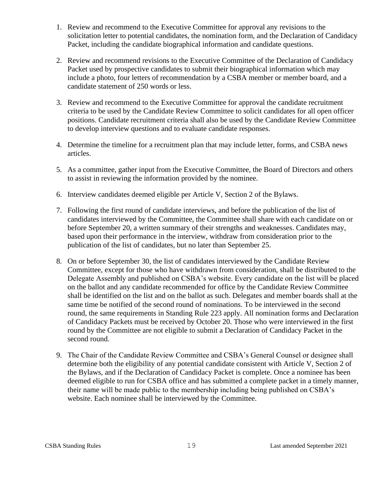- 1. Review and recommend to the Executive Committee for approval any revisions to the solicitation letter to potential candidates, the nomination form, and the Declaration of Candidacy Packet, including the candidate biographical information and candidate questions.
- 2. Review and recommend revisions to the Executive Committee of the Declaration of Candidacy Packet used by prospective candidates to submit their biographical information which may include a photo, four letters of recommendation by a CSBA member or member board, and a candidate statement of 250 words or less.
- 3. Review and recommend to the Executive Committee for approval the candidate recruitment criteria to be used by the Candidate Review Committee to solicit candidates for all open officer positions. Candidate recruitment criteria shall also be used by the Candidate Review Committee to develop interview questions and to evaluate candidate responses.
- 4. Determine the timeline for a recruitment plan that may include letter, forms, and CSBA news articles.
- 5. As a committee, gather input from the Executive Committee, the Board of Directors and others to assist in reviewing the information provided by the nominee.
- 6. Interview candidates deemed eligible per Article V, Section 2 of the Bylaws.
- 7. Following the first round of candidate interviews, and before the publication of the list of candidates interviewed by the Committee, the Committee shall share with each candidate on or before September 20, a written summary of their strengths and weaknesses. Candidates may, based upon their performance in the interview, withdraw from consideration prior to the publication of the list of candidates, but no later than September 25.
- 8. On or before September 30, the list of candidates interviewed by the Candidate Review Committee, except for those who have withdrawn from consideration, shall be distributed to the Delegate Assembly and published on CSBA's website. Every candidate on the list will be placed on the ballot and any candidate recommended for office by the Candidate Review Committee shall be identified on the list and on the ballot as such. Delegates and member boards shall at the same time be notified of the second round of nominations. To be interviewed in the second round, the same requirements in Standing Rule 223 apply. All nomination forms and Declaration of Candidacy Packets must be received by October 20. Those who were interviewed in the first round by the Committee are not eligible to submit a Declaration of Candidacy Packet in the second round.
- 9. The Chair of the Candidate Review Committee and CSBA's General Counsel or designee shall determine both the eligibility of any potential candidate consistent with Article V, Section 2 of the Bylaws, and if the Declaration of Candidacy Packet is complete. Once a nominee has been deemed eligible to run for CSBA office and has submitted a complete packet in a timely manner, their name will be made public to the membership including being published on CSBA's website. Each nominee shall be interviewed by the Committee.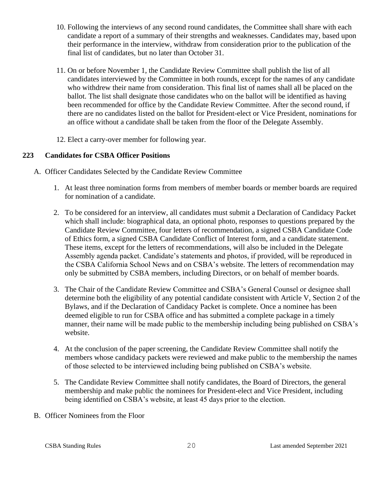- 10. Following the interviews of any second round candidates, the Committee shall share with each candidate a report of a summary of their strengths and weaknesses. Candidates may, based upon their performance in the interview, withdraw from consideration prior to the publication of the final list of candidates, but no later than October 31.
- 11. On or before November 1, the Candidate Review Committee shall publish the list of all candidates interviewed by the Committee in both rounds, except for the names of any candidate who withdrew their name from consideration. This final list of names shall all be placed on the ballot. The list shall designate those candidates who on the ballot will be identified as having been recommended for office by the Candidate Review Committee. After the second round, if there are no candidates listed on the ballot for President-elect or Vice President, nominations for an office without a candidate shall be taken from the floor of the Delegate Assembly.
- 12. Elect a carry-over member for following year.

# <span id="page-23-0"></span>**223 Candidates for CSBA Officer Positions**

- A. Officer Candidates Selected by the Candidate Review Committee
	- 1. At least three nomination forms from members of member boards or member boards are required for nomination of a candidate.
	- 2. To be considered for an interview, all candidates must submit a Declaration of Candidacy Packet which shall include: biographical data, an optional photo, responses to questions prepared by the Candidate Review Committee, four letters of recommendation, a signed CSBA Candidate Code of Ethics form, a signed CSBA Candidate Conflict of Interest form, and a candidate statement. These items, except for the letters of recommendations, will also be included in the Delegate Assembly agenda packet. Candidate's statements and photos, if provided, will be reproduced in the CSBA California School News and on CSBA's website. The letters of recommendation may only be submitted by CSBA members, including Directors, or on behalf of member boards.
	- 3. The Chair of the Candidate Review Committee and CSBA's General Counsel or designee shall determine both the eligibility of any potential candidate consistent with Article V, Section 2 of the Bylaws, and if the Declaration of Candidacy Packet is complete. Once a nominee has been deemed eligible to run for CSBA office and has submitted a complete package in a timely manner, their name will be made public to the membership including being published on CSBA's website.
	- 4. At the conclusion of the paper screening, the Candidate Review Committee shall notify the members whose candidacy packets were reviewed and make public to the membership the names of those selected to be interviewed including being published on CSBA's website.
	- 5. The Candidate Review Committee shall notify candidates, the Board of Directors, the general membership and make public the nominees for President-elect and Vice President, including being identified on CSBA's website, at least 45 days prior to the election.
	- B. Officer Nominees from the Floor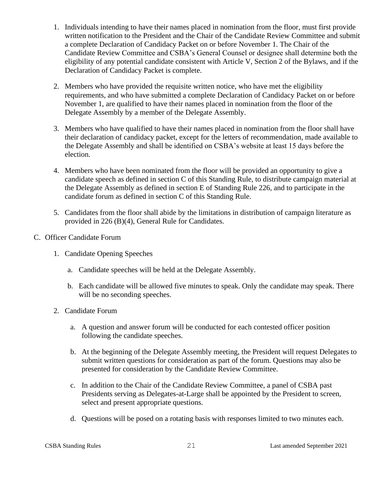- 1. Individuals intending to have their names placed in nomination from the floor, must first provide written notification to the President and the Chair of the Candidate Review Committee and submit a complete Declaration of Candidacy Packet on or before November 1. The Chair of the Candidate Review Committee and CSBA's General Counsel or designee shall determine both the eligibility of any potential candidate consistent with Article V, Section 2 of the Bylaws, and if the Declaration of Candidacy Packet is complete.
- 2. Members who have provided the requisite written notice, who have met the eligibility requirements, and who have submitted a complete Declaration of Candidacy Packet on or before November 1, are qualified to have their names placed in nomination from the floor of the Delegate Assembly by a member of the Delegate Assembly.
- 3. Members who have qualified to have their names placed in nomination from the floor shall have their declaration of candidacy packet, except for the letters of recommendation, made available to the Delegate Assembly and shall be identified on CSBA's website at least 15 days before the election.
- 4. Members who have been nominated from the floor will be provided an opportunity to give a candidate speech as defined in section C of this Standing Rule, to distribute campaign material at the Delegate Assembly as defined in section E of Standing Rule 226, and to participate in the candidate forum as defined in section C of this Standing Rule.
- 5. Candidates from the floor shall abide by the limitations in distribution of campaign literature as provided in 226 (B)(4), General Rule for Candidates.
- C. Officer Candidate Forum
	- 1. Candidate Opening Speeches
		- a. Candidate speeches will be held at the Delegate Assembly.
		- b. Each candidate will be allowed five minutes to speak. Only the candidate may speak. There will be no seconding speeches.
	- 2. Candidate Forum
		- a. A question and answer forum will be conducted for each contested officer position following the candidate speeches.
		- b. At the beginning of the Delegate Assembly meeting, the President will request Delegates to submit written questions for consideration as part of the forum. Questions may also be presented for consideration by the Candidate Review Committee.
		- c. In addition to the Chair of the Candidate Review Committee, a panel of CSBA past Presidents serving as Delegates-at-Large shall be appointed by the President to screen, select and present appropriate questions.
		- d. Questions will be posed on a rotating basis with responses limited to two minutes each.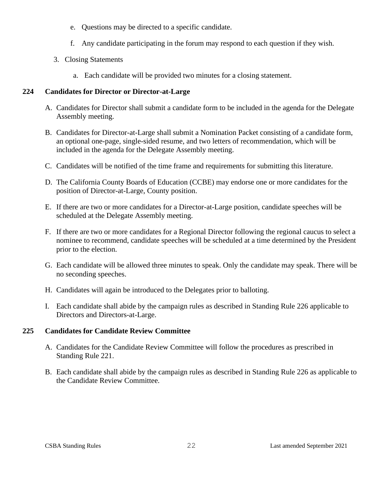- e. Questions may be directed to a specific candidate.
- f. Any candidate participating in the forum may respond to each question if they wish.
- 3. Closing Statements
	- a. Each candidate will be provided two minutes for a closing statement.

# <span id="page-25-0"></span>**224 Candidates for Director or Director-at-Large**

- A. Candidates for Director shall submit a candidate form to be included in the agenda for the Delegate Assembly meeting.
- B. Candidates for Director-at-Large shall submit a Nomination Packet consisting of a candidate form, an optional one-page, single-sided resume, and two letters of recommendation, which will be included in the agenda for the Delegate Assembly meeting.
- C. Candidates will be notified of the time frame and requirements for submitting this literature.
- D. The California County Boards of Education (CCBE) may endorse one or more candidates for the position of Director-at-Large, County position.
- E. If there are two or more candidates for a Director-at-Large position, candidate speeches will be scheduled at the Delegate Assembly meeting.
- F. If there are two or more candidates for a Regional Director following the regional caucus to select a nominee to recommend, candidate speeches will be scheduled at a time determined by the President prior to the election.
- G. Each candidate will be allowed three minutes to speak. Only the candidate may speak. There will be no seconding speeches.
- H. Candidates will again be introduced to the Delegates prior to balloting.
- I. Each candidate shall abide by the campaign rules as described in Standing Rule 226 applicable to Directors and Directors-at-Large.

# <span id="page-25-1"></span>**225 Candidates for Candidate Review Committee**

- A. Candidates for the Candidate Review Committee will follow the procedures as prescribed in Standing Rule 221.
- B. Each candidate shall abide by the campaign rules as described in Standing Rule 226 as applicable to the Candidate Review Committee.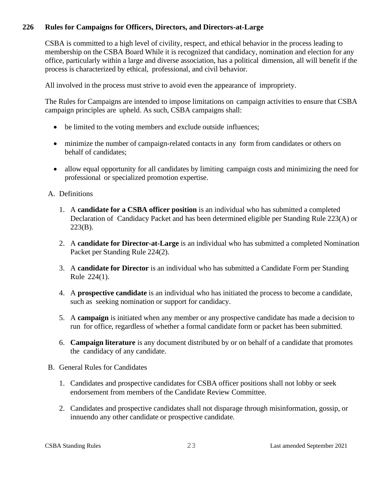# <span id="page-26-0"></span>**226 Rules for Campaigns for Officers, Directors, and Directors-at-Large**

CSBA is committed to a high level of civility, respect, and ethical behavior in the process leading to membership on the CSBA Board While it is recognized that candidacy, nomination and election for any office, particularly within a large and diverse association, has a political dimension, all will benefit if the process is characterized by ethical, professional, and civil behavior.

All involved in the process must strive to avoid even the appearance of impropriety.

The Rules for Campaigns are intended to impose limitations on campaign activities to ensure that CSBA campaign principles are upheld. As such, CSBA campaigns shall:

- be limited to the voting members and exclude outside influences;
- minimize the number of campaign-related contacts in any form from candidates or others on behalf of candidates;
- allow equal opportunity for all candidates by limiting campaign costs and minimizing the need for professional or specialized promotion expertise.

# A. Definitions

- 1. A **candidate for a CSBA officer position** is an individual who has submitted a completed Declaration of Candidacy Packet and has been determined eligible per Standing Rule 223(A) or 223(B).
- 2. A **candidate for Director-at-Large** is an individual who has submitted a completed Nomination Packet per Standing Rule 224(2).
- 3. A **candidate for Director** is an individual who has submitted a Candidate Form per Standing Rule 224(1).
- 4. A **prospective candidate** is an individual who has initiated the process to become a candidate, such as seeking nomination or support for candidacy.
- 5. A **campaign** is initiated when any member or any prospective candidate has made a decision to run for office, regardless of whether a formal candidate form or packet has been submitted.
- 6. **Campaign literature** is any document distributed by or on behalf of a candidate that promotes the candidacy of any candidate.
- B. General Rules for Candidates
	- 1. Candidates and prospective candidates for CSBA officer positions shall not lobby or seek endorsement from members of the Candidate Review Committee.
	- 2. Candidates and prospective candidates shall not disparage through misinformation, gossip, or innuendo any other candidate or prospective candidate.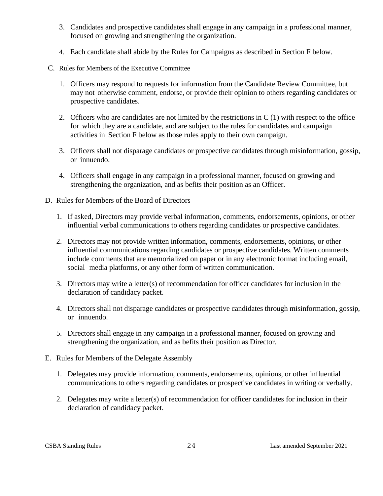- 3. Candidates and prospective candidates shall engage in any campaign in a professional manner, focused on growing and strengthening the organization.
- 4. Each candidate shall abide by the Rules for Campaigns as described in Section F below.
- C. Rules for Members of the Executive Committee
	- 1. Officers may respond to requests for information from the Candidate Review Committee, but may not otherwise comment, endorse, or provide their opinion to others regarding candidates or prospective candidates.
	- 2. Officers who are candidates are not limited by the restrictions in C (1) with respect to the office for which they are a candidate, and are subject to the rules for candidates and campaign activities in Section F below as those rules apply to their own campaign.
	- 3. Officers shall not disparage candidates or prospective candidates through misinformation, gossip, or innuendo.
	- 4. Officers shall engage in any campaign in a professional manner, focused on growing and strengthening the organization, and as befits their position as an Officer.
- D. Rules for Members of the Board of Directors
	- 1. If asked, Directors may provide verbal information, comments, endorsements, opinions, or other influential verbal communications to others regarding candidates or prospective candidates.
	- 2. Directors may not provide written information, comments, endorsements, opinions, or other influential communications regarding candidates or prospective candidates. Written comments include comments that are memorialized on paper or in any electronic format including email, social media platforms, or any other form of written communication.
	- 3. Directors may write a letter(s) of recommendation for officer candidates for inclusion in the declaration of candidacy packet.
	- 4. Directors shall not disparage candidates or prospective candidates through misinformation, gossip, or innuendo.
	- 5. Directors shall engage in any campaign in a professional manner, focused on growing and strengthening the organization, and as befits their position as Director.
- E. Rules for Members of the Delegate Assembly
	- 1. Delegates may provide information, comments, endorsements, opinions, or other influential communications to others regarding candidates or prospective candidates in writing or verbally.
	- 2. Delegates may write a letter(s) of recommendation for officer candidates for inclusion in their declaration of candidacy packet.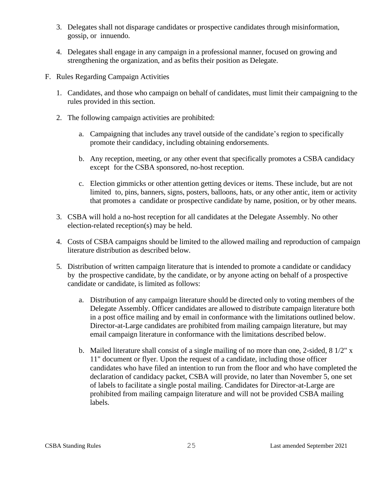- 3. Delegates shall not disparage candidates or prospective candidates through misinformation, gossip, or innuendo.
- 4. Delegates shall engage in any campaign in a professional manner, focused on growing and strengthening the organization, and as befits their position as Delegate.
- F. Rules Regarding Campaign Activities
	- 1. Candidates, and those who campaign on behalf of candidates, must limit their campaigning to the rules provided in this section.
	- 2. The following campaign activities are prohibited:
		- a. Campaigning that includes any travel outside of the candidate's region to specifically promote their candidacy, including obtaining endorsements.
		- b. Any reception, meeting, or any other event that specifically promotes a CSBA candidacy except for the CSBA sponsored, no-host reception.
		- c. Election gimmicks or other attention getting devices or items. These include, but are not limited to, pins, banners, signs, posters, balloons, hats, or any other antic, item or activity that promotes a candidate or prospective candidate by name, position, or by other means.
	- 3. CSBA will hold a no-host reception for all candidates at the Delegate Assembly. No other election-related reception(s) may be held.
	- 4. Costs of CSBA campaigns should be limited to the allowed mailing and reproduction of campaign literature distribution as described below.
	- 5. Distribution of written campaign literature that is intended to promote a candidate or candidacy by the prospective candidate, by the candidate, or by anyone acting on behalf of a prospective candidate or candidate, is limited as follows:
		- a. Distribution of any campaign literature should be directed only to voting members of the Delegate Assembly. Officer candidates are allowed to distribute campaign literature both in a post office mailing and by email in conformance with the limitations outlined below. Director-at-Large candidates are prohibited from mailing campaign literature, but may email campaign literature in conformance with the limitations described below.
		- b. Mailed literature shall consist of a single mailing of no more than one, 2-sided, 8 1/2" x 11" document or flyer. Upon the request of a candidate, including those officer candidates who have filed an intention to run from the floor and who have completed the declaration of candidacy packet, CSBA will provide, no later than November 5, one set of labels to facilitate a single postal mailing. Candidates for Director-at-Large are prohibited from mailing campaign literature and will not be provided CSBA mailing labels.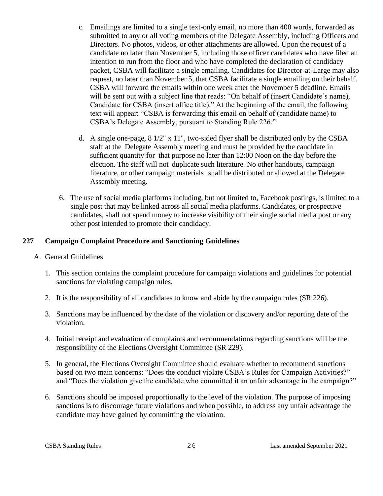- c. Emailings are limited to a single text-only email, no more than 400 words, forwarded as submitted to any or all voting members of the Delegate Assembly, including Officers and Directors. No photos, videos, or other attachments are allowed. Upon the request of a candidate no later than November 5, including those officer candidates who have filed an intention to run from the floor and who have completed the declaration of candidacy packet, CSBA will facilitate a single emailing. Candidates for Director-at-Large may also request, no later than November 5, that CSBA facilitate a single emailing on their behalf. CSBA will forward the emails within one week after the November 5 deadline. Emails will be sent out with a subject line that reads: "On behalf of (insert Candidate's name), Candidate for CSBA (insert office title)." At the beginning of the email, the following text will appear: "CSBA is forwarding this email on behalf of (candidate name) to CSBA's Delegate Assembly, pursuant to Standing Rule 226."
- d. A single one-page, 8 1/2" x 11", two-sided flyer shall be distributed only by the CSBA staff at the Delegate Assembly meeting and must be provided by the candidate in sufficient quantity for that purpose no later than 12:00 Noon on the day before the election. The staff will not duplicate such literature. No other handouts, campaign literature, or other campaign materials shall be distributed or allowed at the Delegate Assembly meeting.
- 6. The use of social media platforms including, but not limited to, Facebook postings, is limited to a single post that may be linked across all social media platforms. Candidates, or prospective candidates, shall not spend money to increase visibility of their single social media post or any other post intended to promote their candidacy.

# <span id="page-29-0"></span>**227 Campaign Complaint Procedure and Sanctioning Guidelines**

- A. General Guidelines
	- 1. This section contains the complaint procedure for campaign violations and guidelines for potential sanctions for violating campaign rules.
	- 2. It is the responsibility of all candidates to know and abide by the campaign rules (SR 226).
	- 3. Sanctions may be influenced by the date of the violation or discovery and/or reporting date of the violation.
	- 4. Initial receipt and evaluation of complaints and recommendations regarding sanctions will be the responsibility of the Elections Oversight Committee (SR 229).
	- 5. In general, the Elections Oversight Committee should evaluate whether to recommend sanctions based on two main concerns: "Does the conduct violate CSBA's Rules for Campaign Activities?" and "Does the violation give the candidate who committed it an unfair advantage in the campaign?"
	- 6. Sanctions should be imposed proportionally to the level of the violation. The purpose of imposing sanctions is to discourage future violations and when possible, to address any unfair advantage the candidate may have gained by committing the violation.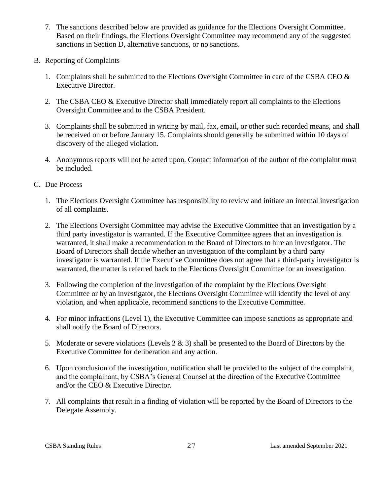- 7. The sanctions described below are provided as guidance for the Elections Oversight Committee. Based on their findings, the Elections Oversight Committee may recommend any of the suggested sanctions in Section D, alternative sanctions, or no sanctions.
- B. Reporting of Complaints
	- 1. Complaints shall be submitted to the Elections Oversight Committee in care of the CSBA CEO  $\&$ Executive Director.
	- 2. The CSBA CEO & Executive Director shall immediately report all complaints to the Elections Oversight Committee and to the CSBA President.
	- 3. Complaints shall be submitted in writing by mail, fax, email, or other such recorded means, and shall be received on or before January 15. Complaints should generally be submitted within 10 days of discovery of the alleged violation.
	- 4. Anonymous reports will not be acted upon. Contact information of the author of the complaint must be included.
- C. Due Process
	- 1. The Elections Oversight Committee has responsibility to review and initiate an internal investigation of all complaints.
	- 2. The Elections Oversight Committee may advise the Executive Committee that an investigation by a third party investigator is warranted. If the Executive Committee agrees that an investigation is warranted, it shall make a recommendation to the Board of Directors to hire an investigator. The Board of Directors shall decide whether an investigation of the complaint by a third party investigator is warranted. If the Executive Committee does not agree that a third-party investigator is warranted, the matter is referred back to the Elections Oversight Committee for an investigation.
	- 3. Following the completion of the investigation of the complaint by the Elections Oversight Committee or by an investigator, the Elections Oversight Committee will identify the level of any violation, and when applicable, recommend sanctions to the Executive Committee.
	- 4. For minor infractions (Level 1), the Executive Committee can impose sanctions as appropriate and shall notify the Board of Directors.
	- 5. Moderate or severe violations (Levels 2 & 3) shall be presented to the Board of Directors by the Executive Committee for deliberation and any action.
	- 6. Upon conclusion of the investigation, notification shall be provided to the subject of the complaint, and the complainant, by CSBA's General Counsel at the direction of the Executive Committee and/or the CEO & Executive Director.
	- 7. All complaints that result in a finding of violation will be reported by the Board of Directors to the Delegate Assembly.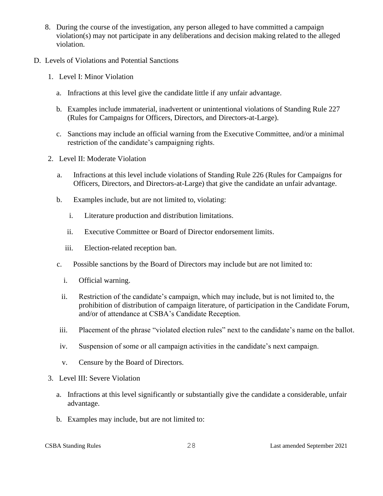- 8. During the course of the investigation, any person alleged to have committed a campaign violation(s) may not participate in any deliberations and decision making related to the alleged violation.
- D. Levels of Violations and Potential Sanctions
	- 1. Level I: Minor Violation
		- a. Infractions at this level give the candidate little if any unfair advantage.
		- b. Examples include immaterial, inadvertent or unintentional violations of Standing Rule 227 (Rules for Campaigns for Officers, Directors, and Directors-at-Large).
		- c. Sanctions may include an official warning from the Executive Committee, and/or a minimal restriction of the candidate's campaigning rights.
	- 2. Level II: Moderate Violation
		- a. Infractions at this level include violations of Standing Rule 226 (Rules for Campaigns for Officers, Directors, and Directors-at-Large) that give the candidate an unfair advantage.
		- b. Examples include, but are not limited to, violating:
			- i. Literature production and distribution limitations.
			- ii. Executive Committee or Board of Director endorsement limits.
			- iii. Election-related reception ban.
		- c. Possible sanctions by the Board of Directors may include but are not limited to:
			- i. Official warning.
			- ii. Restriction of the candidate's campaign, which may include, but is not limited to, the prohibition of distribution of campaign literature, of participation in the Candidate Forum, and/or of attendance at CSBA's Candidate Reception.
		- iii. Placement of the phrase "violated election rules" next to the candidate's name on the ballot.
		- iv. Suspension of some or all campaign activities in the candidate's next campaign.
		- v. Censure by the Board of Directors.
	- 3. Level III: Severe Violation
		- a. Infractions at this level significantly or substantially give the candidate a considerable, unfair advantage.
		- b. Examples may include, but are not limited to: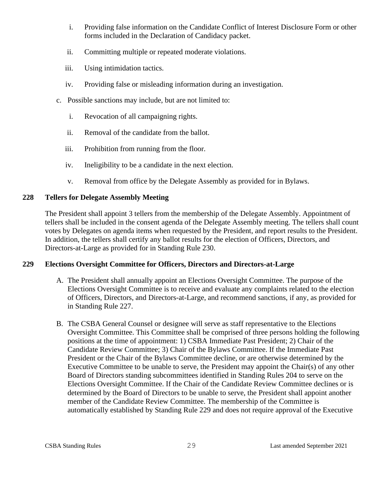- i. Providing false information on the Candidate Conflict of Interest Disclosure Form or other forms included in the Declaration of Candidacy packet.
- ii. Committing multiple or repeated moderate violations.
- iii. Using intimidation tactics.
- iv. Providing false or misleading information during an investigation.
- c. Possible sanctions may include, but are not limited to:
	- i. Revocation of all campaigning rights.
	- ii. Removal of the candidate from the ballot.
	- iii. Prohibition from running from the floor.
	- iv. Ineligibility to be a candidate in the next election.
	- v. Removal from office by the Delegate Assembly as provided for in Bylaws.

# <span id="page-32-0"></span>**228 Tellers for Delegate Assembly Meeting**

The President shall appoint 3 tellers from the membership of the Delegate Assembly. Appointment of tellers shall be included in the consent agenda of the Delegate Assembly meeting. The tellers shall count votes by Delegates on agenda items when requested by the President, and report results to the President. In addition, the tellers shall certify any ballot results for the election of Officers, Directors, and Directors-at-Large as provided for in Standing Rule 230.

# <span id="page-32-1"></span>**229 Elections Oversight Committee for Officers, Directors and Directors-at-Large**

- A. The President shall annually appoint an Elections Oversight Committee. The purpose of the Elections Oversight Committee is to receive and evaluate any complaints related to the election of Officers, Directors, and Directors-at-Large, and recommend sanctions, if any, as provided for in Standing Rule 227.
- B. The CSBA General Counsel or designee will serve as staff representative to the Elections Oversight Committee. This Committee shall be comprised of three persons holding the following positions at the time of appointment: 1) CSBA Immediate Past President; 2) Chair of the Candidate Review Committee; 3) Chair of the Bylaws Committee. If the Immediate Past President or the Chair of the Bylaws Committee decline, or are otherwise determined by the Executive Committee to be unable to serve, the President may appoint the Chair(s) of any other Board of Directors standing subcommittees identified in Standing Rules 204 to serve on the Elections Oversight Committee. If the Chair of the Candidate Review Committee declines or is determined by the Board of Directors to be unable to serve, the President shall appoint another member of the Candidate Review Committee. The membership of the Committee is automatically established by Standing Rule 229 and does not require approval of the Executive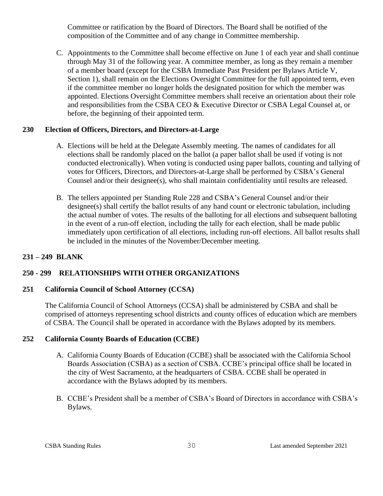Committee or ratification by the Board of Directors. The Board shall be notified of the composition of the Committee and of any change in Committee membership.

C. Appointments to the Committee shall become effective on June 1 of each year and shall continue through May 31 of the following year. A committee member, as long as they remain a member of a member board (except for the CSBA Immediate Past President per Bylaws Article V, Section 1), shall remain on the Elections Oversight Committee for the full appointed term, even if the committee member no longer holds the designated position for which the member was appointed. Elections Oversight Committee members shall receive an orientation about their role and responsibilities from the CSBA CEO & Executive Director or CSBA Legal Counsel at, or before, the beginning of their appointed term.

# <span id="page-33-0"></span>**230 Election of Officers, Directors, and Directors-at-Large**

- A. Elections will be held at the Delegate Assembly meeting. The names of candidates for all elections shall be randomly placed on the ballot (a paper ballot shall be used if voting is not conducted electronically). When voting is conducted using paper ballots, counting and tallying of votes for Officers, Directors, and Directors-at-Large shall be performed by CSBA's General Counsel and/or their designee(s), who shall maintain confidentiality until results are released.
- B. The tellers appointed per Standing Rule 228 and CSBA's General Counsel and/or their designee(s) shall certify the ballot results of any hand count or electronic tabulation, including the actual number of votes. The results of the balloting for all elections and subsequent balloting in the event of a run-off election, including the tally for each election, shall be made public immediately upon certification of all elections, including run-off elections. All ballot results shall be included in the minutes of the November/December meeting.

# <span id="page-33-1"></span>**231 – 249 BLANK**

# <span id="page-33-2"></span>**250 - 299 RELATIONSHIPS WITH OTHER ORGANIZATIONS**

# <span id="page-33-3"></span>**251 California Council of School Attorney (CCSA)**

The California Council of School Attorneys (CCSA) shall be administered by CSBA and shall be comprised of attorneys representing school districts and county offices of education which are members of CSBA. The Council shall be operated in accordance with the Bylaws adopted by its members.

# <span id="page-33-4"></span>**252 California County Boards of Education (CCBE)**

- A. California County Boards of Education (CCBE) shall be associated with the California School Boards Association (CSBA) as a section of CSBA. CCBE's principal office shall be located in the city of West Sacramento, at the headquarters of CSBA. CCBE shall be operated in accordance with the Bylaws adopted by its members.
- B. CCBE's President shall be a member of CSBA's Board of Directors in accordance with CSBA's Bylaws.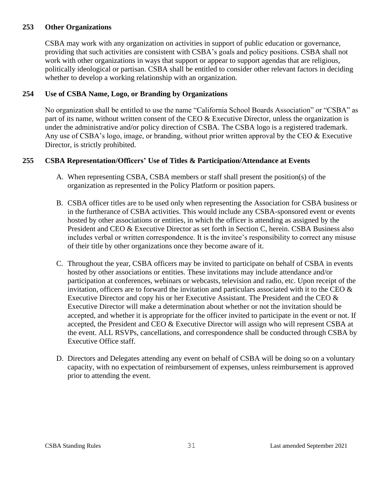# <span id="page-34-0"></span>**253 Other Organizations**

CSBA may work with any organization on activities in support of public education or governance, providing that such activities are consistent with CSBA's goals and policy positions. CSBA shall not work with other organizations in ways that support or appear to support agendas that are religious, politically ideological or partisan. CSBA shall be entitled to consider other relevant factors in deciding whether to develop a working relationship with an organization.

# <span id="page-34-1"></span>**254 Use of CSBA Name, Logo, or Branding by Organizations**

No organization shall be entitled to use the name "California School Boards Association" or "CSBA" as part of its name, without written consent of the CEO & Executive Director, unless the organization is under the administrative and/or policy direction of CSBA. The CSBA logo is a registered trademark. Any use of CSBA's logo, image, or branding, without prior written approval by the CEO & Executive Director, is strictly prohibited.

# <span id="page-34-2"></span>**255 CSBA Representation/Officers' Use of Titles & Participation/Attendance at Events**

- A. When representing CSBA, CSBA members or staff shall present the position(s) of the organization as represented in the Policy Platform or position papers.
- B. CSBA officer titles are to be used only when representing the Association for CSBA business or in the furtherance of CSBA activities. This would include any CSBA-sponsored event or events hosted by other associations or entities, in which the officer is attending as assigned by the President and CEO & Executive Director as set forth in Section C, herein. CSBA Business also includes verbal or written correspondence. It is the invitee's responsibility to correct any misuse of their title by other organizations once they become aware of it.
- C. Throughout the year, CSBA officers may be invited to participate on behalf of CSBA in events hosted by other associations or entities. These invitations may include attendance and/or participation at conferences, webinars or webcasts, television and radio, etc. Upon receipt of the invitation, officers are to forward the invitation and particulars associated with it to the CEO  $\&$ Executive Director and copy his or her Executive Assistant. The President and the CEO  $\&$ Executive Director will make a determination about whether or not the invitation should be accepted, and whether it is appropriate for the officer invited to participate in the event or not. If accepted, the President and CEO & Executive Director will assign who will represent CSBA at the event. ALL RSVPs, cancellations, and correspondence shall be conducted through CSBA by Executive Office staff.
- D. Directors and Delegates attending any event on behalf of CSBA will be doing so on a voluntary capacity, with no expectation of reimbursement of expenses, unless reimbursement is approved prior to attending the event.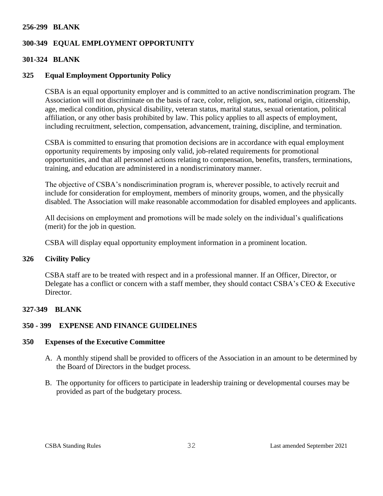#### <span id="page-35-0"></span>**256-299 BLANK**

# <span id="page-35-1"></span>**300-349 EQUAL EMPLOYMENT OPPORTUNITY**

#### <span id="page-35-2"></span>**301-324 BLANK**

#### <span id="page-35-3"></span>**325 Equal Employment Opportunity Policy**

CSBA is an equal opportunity employer and is committed to an active nondiscrimination program. The Association will not discriminate on the basis of race, color, religion, sex, national origin, citizenship, age, medical condition, physical disability, veteran status, marital status, sexual orientation, political affiliation, or any other basis prohibited by law. This policy applies to all aspects of employment, including recruitment, selection, compensation, advancement, training, discipline, and termination.

CSBA is committed to ensuring that promotion decisions are in accordance with equal employment opportunity requirements by imposing only valid, job-related requirements for promotional opportunities, and that all personnel actions relating to compensation, benefits, transfers, terminations, training, and education are administered in a nondiscriminatory manner.

The objective of CSBA's nondiscrimination program is, wherever possible, to actively recruit and include for consideration for employment, members of minority groups, women, and the physically disabled. The Association will make reasonable accommodation for disabled employees and applicants.

All decisions on employment and promotions will be made solely on the individual's qualifications (merit) for the job in question.

CSBA will display equal opportunity employment information in a prominent location.

#### <span id="page-35-4"></span>**326 Civility Policy**

CSBA staff are to be treated with respect and in a professional manner. If an Officer, Director, or Delegate has a conflict or concern with a staff member, they should contact CSBA's CEO & Executive Director.

#### <span id="page-35-5"></span>**327-349 BLANK**

## <span id="page-35-6"></span>**350 - 399 EXPENSE AND FINANCE GUIDELINES**

#### <span id="page-35-7"></span>**350 Expenses of the Executive Committee**

- A. A monthly stipend shall be provided to officers of the Association in an amount to be determined by the Board of Directors in the budget process.
- B. The opportunity for officers to participate in leadership training or developmental courses may be provided as part of the budgetary process.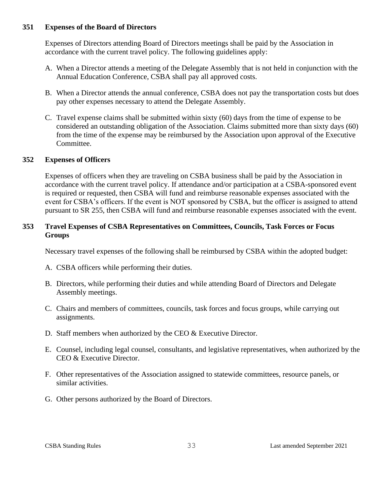## <span id="page-36-0"></span>**351 Expenses of the Board of Directors**

Expenses of Directors attending Board of Directors meetings shall be paid by the Association in accordance with the current travel policy. The following guidelines apply:

- A. When a Director attends a meeting of the Delegate Assembly that is not held in conjunction with the Annual Education Conference, CSBA shall pay all approved costs.
- B. When a Director attends the annual conference, CSBA does not pay the transportation costs but does pay other expenses necessary to attend the Delegate Assembly.
- C. Travel expense claims shall be submitted within sixty (60) days from the time of expense to be considered an outstanding obligation of the Association. Claims submitted more than sixty days (60) from the time of the expense may be reimbursed by the Association upon approval of the Executive Committee.

# <span id="page-36-1"></span>**352 Expenses of Officers**

Expenses of officers when they are traveling on CSBA business shall be paid by the Association in accordance with the current travel policy. If attendance and/or participation at a CSBA-sponsored event is required or requested, then CSBA will fund and reimburse reasonable expenses associated with the event for CSBA's officers. If the event is NOT sponsored by CSBA, but the officer is assigned to attend pursuant to SR 255, then CSBA will fund and reimburse reasonable expenses associated with the event.

# <span id="page-36-2"></span>**353 Travel Expenses of CSBA Representatives on Committees, Councils, Task Forces or Focus Groups**

Necessary travel expenses of the following shall be reimbursed by CSBA within the adopted budget:

- A. CSBA officers while performing their duties.
- B. Directors, while performing their duties and while attending Board of Directors and Delegate Assembly meetings.
- C. Chairs and members of committees, councils, task forces and focus groups, while carrying out assignments.
- D. Staff members when authorized by the CEO & Executive Director.
- E. Counsel, including legal counsel, consultants, and legislative representatives, when authorized by the CEO & Executive Director.
- F. Other representatives of the Association assigned to statewide committees, resource panels, or similar activities.
- G. Other persons authorized by the Board of Directors.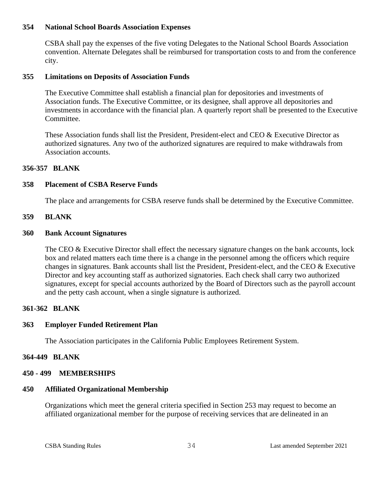## <span id="page-37-0"></span>**354 National School Boards Association Expenses**

CSBA shall pay the expenses of the five voting Delegates to the National School Boards Association convention. Alternate Delegates shall be reimbursed for transportation costs to and from the conference city.

## <span id="page-37-1"></span>**355 Limitations on Deposits of Association Funds**

The Executive Committee shall establish a financial plan for depositories and investments of Association funds. The Executive Committee, or its designee, shall approve all depositories and investments in accordance with the financial plan. A quarterly report shall be presented to the Executive Committee.

These Association funds shall list the President, President-elect and CEO & Executive Director as authorized signatures. Any two of the authorized signatures are required to make withdrawals from Association accounts.

# <span id="page-37-2"></span>**356-357 BLANK**

# <span id="page-37-3"></span>**358 Placement of CSBA Reserve Funds**

The place and arrangements for CSBA reserve funds shall be determined by the Executive Committee.

## <span id="page-37-4"></span>**359 BLANK**

## <span id="page-37-5"></span>**360 Bank Account Signatures**

The CEO & Executive Director shall effect the necessary signature changes on the bank accounts, lock box and related matters each time there is a change in the personnel among the officers which require changes in signatures. Bank accounts shall list the President, President-elect, and the CEO & Executive Director and key accounting staff as authorized signatories. Each check shall carry two authorized signatures, except for special accounts authorized by the Board of Directors such as the payroll account and the petty cash account, when a single signature is authorized.

## <span id="page-37-6"></span>**361-362 BLANK**

## <span id="page-37-7"></span>**363 Employer Funded Retirement Plan**

The Association participates in the California Public Employees Retirement System.

## <span id="page-37-8"></span>**364-449 BLANK**

## <span id="page-37-9"></span>**450 - 499 MEMBERSHIPS**

## <span id="page-37-10"></span>**450 Affiliated Organizational Membership**

Organizations which meet the general criteria specified in Section 253 may request to become an affiliated organizational member for the purpose of receiving services that are delineated in an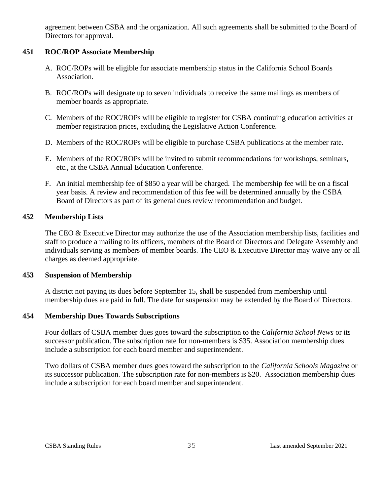agreement between CSBA and the organization. All such agreements shall be submitted to the Board of Directors for approval.

# <span id="page-38-0"></span>**451 ROC/ROP Associate Membership**

- A. ROC/ROPs will be eligible for associate membership status in the California School Boards Association.
- B. ROC/ROPs will designate up to seven individuals to receive the same mailings as members of member boards as appropriate.
- C. Members of the ROC/ROPs will be eligible to register for CSBA continuing education activities at member registration prices, excluding the Legislative Action Conference.
- D. Members of the ROC/ROPs will be eligible to purchase CSBA publications at the member rate.
- E. Members of the ROC/ROPs will be invited to submit recommendations for workshops, seminars, etc., at the CSBA Annual Education Conference.
- F. An initial membership fee of \$850 a year will be charged. The membership fee will be on a fiscal year basis. A review and recommendation of this fee will be determined annually by the CSBA Board of Directors as part of its general dues review recommendation and budget.

## <span id="page-38-1"></span>**452 Membership Lists**

The CEO & Executive Director may authorize the use of the Association membership lists, facilities and staff to produce a mailing to its officers, members of the Board of Directors and Delegate Assembly and individuals serving as members of member boards. The CEO & Executive Director may waive any or all charges as deemed appropriate.

## <span id="page-38-2"></span>**453 Suspension of Membership**

A district not paying its dues before September 15, shall be suspended from membership until membership dues are paid in full. The date for suspension may be extended by the Board of Directors.

## <span id="page-38-3"></span>**454 Membership Dues Towards Subscriptions**

Four dollars of CSBA member dues goes toward the subscription to the *California School News* or its successor publication. The subscription rate for non-members is \$35. Association membership dues include a subscription for each board member and superintendent.

Two dollars of CSBA member dues goes toward the subscription to the *California Schools Magazine* or its successor publication. The subscription rate for non-members is \$20. Association membership dues include a subscription for each board member and superintendent.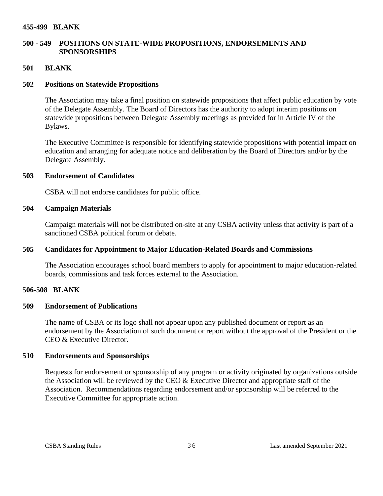#### <span id="page-39-0"></span>**455-499 BLANK**

# <span id="page-39-1"></span>**500 - 549 POSITIONS ON STATE-WIDE PROPOSITIONS, ENDORSEMENTS AND SPONSORSHIPS**

#### <span id="page-39-2"></span>**501 BLANK**

#### <span id="page-39-3"></span>**502 Positions on Statewide Propositions**

The Association may take a final position on statewide propositions that affect public education by vote of the Delegate Assembly. The Board of Directors has the authority to adopt interim positions on statewide propositions between Delegate Assembly meetings as provided for in Article IV of the Bylaws.

The Executive Committee is responsible for identifying statewide propositions with potential impact on education and arranging for adequate notice and deliberation by the Board of Directors and/or by the Delegate Assembly.

#### <span id="page-39-4"></span>**503 Endorsement of Candidates**

CSBA will not endorse candidates for public office.

#### <span id="page-39-5"></span>**504 Campaign Materials**

Campaign materials will not be distributed on-site at any CSBA activity unless that activity is part of a sanctioned CSBA political forum or debate.

## <span id="page-39-6"></span>**505 Candidates for Appointment to Major Education-Related Boards and Commissions**

The Association encourages school board members to apply for appointment to major education-related boards, commissions and task forces external to the Association.

#### <span id="page-39-7"></span>**506-508 BLANK**

#### <span id="page-39-8"></span>**509 Endorsement of Publications**

The name of CSBA or its logo shall not appear upon any published document or report as an endorsement by the Association of such document or report without the approval of the President or the CEO & Executive Director.

#### <span id="page-39-9"></span>**510 Endorsements and Sponsorships**

Requests for endorsement or sponsorship of any program or activity originated by organizations outside the Association will be reviewed by the CEO & Executive Director and appropriate staff of the Association. Recommendations regarding endorsement and/or sponsorship will be referred to the Executive Committee for appropriate action.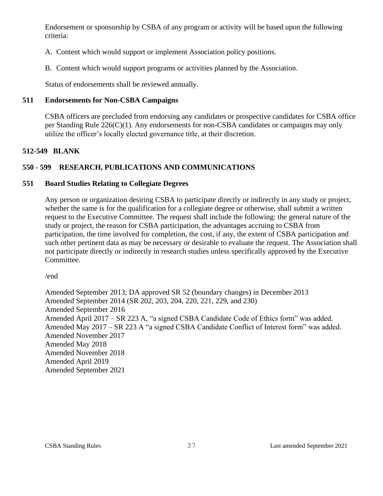Endorsement or sponsorship by CSBA of any program or activity will be based upon the following criteria:

- A. Content which would support or implement Association policy positions.
- B. Content which would support programs or activities planned by the Association.

Status of endorsements shall be reviewed annually.

# <span id="page-40-0"></span>**511 Endorsements for Non-CSBA Campaigns**

CSBA officers are precluded from endorsing any candidates or prospective candidates for CSBA office per Standing Rule 226(C)(1). Any endorsements for non-CSBA candidates or campaigns may only utilize the officer's locally elected governance title, at their discretion.

# <span id="page-40-1"></span>**512-549 BLANK**

# <span id="page-40-2"></span>**550 - 599 RESEARCH, PUBLICATIONS AND COMMUNICATIONS**

## <span id="page-40-3"></span>**551 Board Studies Relating to Collegiate Degrees**

Any person or organization desiring CSBA to participate directly or indirectly in any study or project, whether the same is for the qualification for a collegiate degree or otherwise, shall submit a written request to the Executive Committee. The request shall include the following: the general nature of the study or project, the reason for CSBA participation, the advantages accruing to CSBA from participation, the time involved for completion, the cost, if any, the extent of CSBA participation and such other pertinent data as may be necessary or desirable to evaluate the request. The Association shall not participate directly or indirectly in research studies unless specifically approved by the Executive Committee.

/end

Amended September 2013; DA approved SR 52 (boundary changes) in December 2013 Amended September 2014 (SR 202, 203, 204, 220, 221, 229, and 230) Amended September 2016 Amended April 2017 – SR 223 A, "a signed CSBA Candidate Code of Ethics form" was added. Amended May 2017 – SR 223 A "a signed CSBA Candidate Conflict of Interest form" was added. Amended November 2017 Amended May 2018 Amended November 2018 Amended April 2019 Amended September 2021